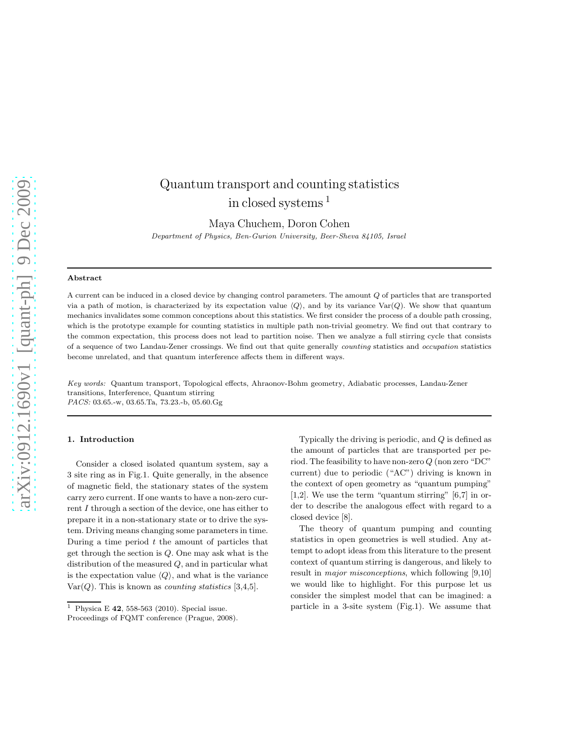# Quantum transport and counting statistics in closed systems <sup>1</sup>

Maya Chuchem, Doron Cohen Department of Physics, Ben-Gurion University, Beer-Sheva 84105, Israel

#### Abstract

A current can be induced in a closed device by changing control parameters. The amount Q of particles that are transported via a path of motion, is characterized by its expectation value  $\langle Q \rangle$ , and by its variance Var $(Q)$ . We show that quantum mechanics invalidates some common conceptions about this statistics. We first consider the process of a double path crossing, which is the prototype example for counting statistics in multiple path non-trivial geometry. We find out that contrary to the common expectation, this process does not lead to partition noise. Then we analyze a full stirring cycle that consists of a sequence of two Landau-Zener crossings. We find out that quite generally counting statistics and occupation statistics become unrelated, and that quantum interference affects them in different ways.

Key words: Quantum transport, Topological effects, Ahraonov-Bohm geometry, Adiabatic processes, Landau-Zener transitions, Interference, Quantum stirring PACS: 03.65.-w, 03.65.Ta, 73.23.-b, 05.60.Gg

## 1. Introduction

Consider a closed isolated quantum system, say a 3 site ring as in Fig.1. Quite generally, in the absence of magnetic field, the stationary states of the system carry zero current. If one wants to have a non-zero current I through a section of the device, one has either to prepare it in a non-stationary state or to drive the system. Driving means changing some parameters in time. During a time period  $t$  the amount of particles that get through the section is Q. One may ask what is the distribution of the measured Q, and in particular what is the expectation value  $\langle Q \rangle$ , and what is the variance  $Var(Q)$ . This is known as *counting statistics* [3,4,5].

Typically the driving is periodic, and Q is defined as the amount of particles that are transported per period. The feasibility to have non-zero  $Q$  (non zero "DC" current) due to periodic ("AC") driving is known in the context of open geometry as "quantum pumping" [1,2]. We use the term "quantum stirring" [6,7] in order to describe the analogous effect with regard to a closed device [8].

The theory of quantum pumping and counting statistics in open geometries is well studied. Any attempt to adopt ideas from this literature to the present context of quantum stirring is dangerous, and likely to result in major misconceptions, which following [9,10] we would like to highlight. For this purpose let us consider the simplest model that can be imagined: a particle in a 3-site system (Fig.1). We assume that

<sup>&</sup>lt;sup>1</sup> Physica E **42**, 558-563 (2010). Special issue.

Proceedings of FQMT conference (Prague, 2008).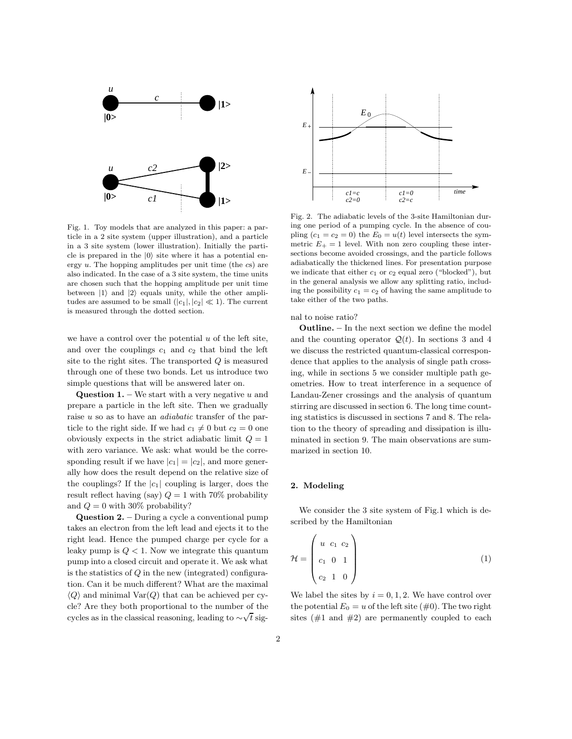

Fig. 1. Toy models that are analyzed in this paper: a particle in a 2 site system (upper illustration), and a particle in a 3 site system (lower illustration). Initially the particle is prepared in the  $|0\rangle$  site where it has a potential energy u. The hopping amplitudes per unit time (the cs) are also indicated. In the case of a 3 site system, the time units are chosen such that the hopping amplitude per unit time between  $|1\rangle$  and  $|2\rangle$  equals unity, while the other amplitudes are assumed to be small  $(|c_1|, |c_2| \ll 1)$ . The current is measured through the dotted section.

we have a control over the potential  $u$  of the left site, and over the couplings  $c_1$  and  $c_2$  that bind the left site to the right sites. The transported  $Q$  is measured through one of these two bonds. Let us introduce two simple questions that will be answered later on.

**Question 1.** – We start with a very negative  $u$  and prepare a particle in the left site. Then we gradually raise u so as to have an adiabatic transfer of the particle to the right side. If we had  $c_1 \neq 0$  but  $c_2 = 0$  one obviously expects in the strict adiabatic limit  $Q = 1$ with zero variance. We ask: what would be the corresponding result if we have  $|c_1| = |c_2|$ , and more generally how does the result depend on the relative size of the couplings? If the  $|c_1|$  coupling is larger, does the result reflect having (say)  $Q = 1$  with 70% probability and  $Q = 0$  with 30% probability?

Question 2. – During a cycle a conventional pump takes an electron from the left lead and ejects it to the right lead. Hence the pumped charge per cycle for a leaky pump is  $Q < 1$ . Now we integrate this quantum pump into a closed circuit and operate it. We ask what is the statistics of  $Q$  in the new (integrated) configuration. Can it be much different? What are the maximal  $\langle Q \rangle$  and minimal Var $(Q)$  that can be achieved per cycle? Are they both proportional to the number of the cycles as in the classical reasoning, leading to  $\sim \sqrt{t}$  sig-



Fig. 2. The adiabatic levels of the 3-site Hamiltonian during one period of a pumping cycle. In the absence of coupling  $(c_1 = c_2 = 0)$  the  $E_0 = u(t)$  level intersects the symmetric  $E_{+} = 1$  level. With non zero coupling these intersections become avoided crossings, and the particle follows adiabatically the thickened lines. For presentation purpose we indicate that either  $c_1$  or  $c_2$  equal zero ("blocked"), but in the general analysis we allow any splitting ratio, including the possibility  $c_1 = c_2$  of having the same amplitude to take either of the two paths.

nal to noise ratio?

Outline. – In the next section we define the model and the counting operator  $\mathcal{Q}(t)$ . In sections 3 and 4 we discuss the restricted quantum-classical correspondence that applies to the analysis of single path crossing, while in sections 5 we consider multiple path geometries. How to treat interference in a sequence of Landau-Zener crossings and the analysis of quantum stirring are discussed in section 6. The long time counting statistics is discussed in sections 7 and 8. The relation to the theory of spreading and dissipation is illuminated in section 9. The main observations are summarized in section 10.

## 2. Modeling

We consider the 3 site system of Fig.1 which is described by the Hamiltonian

$$
\mathcal{H} = \begin{pmatrix} u & c_1 & c_2 \\ c_1 & 0 & 1 \\ c_2 & 1 & 0 \end{pmatrix}
$$
 (1)

We label the sites by  $i = 0, 1, 2$ . We have control over the potential  $E_0 = u$  of the left site (#0). The two right sites  $(\#1 \text{ and } \#2)$  are permanently coupled to each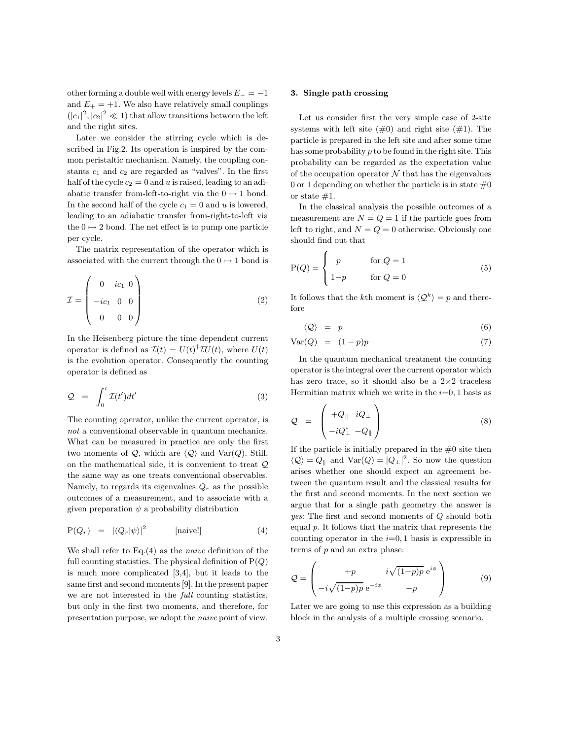other forming a double well with energy levels  $E_-= -1$ and  $E_{+} = +1$ . We also have relatively small couplings  $(|c_1|^2, |c_2|^2 \ll 1)$  that allow transitions between the left and the right sites.

Later we consider the stirring cycle which is described in Fig.2. Its operation is inspired by the common peristaltic mechanism. Namely, the coupling constants  $c_1$  and  $c_2$  are regarded as "valves". In the first half of the cycle  $c_2 = 0$  and u is raised, leading to an adiabatic transfer from-left-to-right via the  $0 \mapsto 1$  bond. In the second half of the cycle  $c_1 = 0$  and u is lowered, leading to an adiabatic transfer from-right-to-left via the  $0 \mapsto 2$  bond. The net effect is to pump one particle per cycle.

The matrix representation of the operator which is associated with the current through the  $0 \mapsto 1$  bond is

$$
\mathcal{I} = \begin{pmatrix} 0 & ic_1 & 0 \\ -ic_1 & 0 & 0 \\ 0 & 0 & 0 \end{pmatrix}
$$
 (2)

In the Heisenberg picture the time dependent current operator is defined as  $\mathcal{I}(t) = U(t)^{\dagger} \mathcal{I} U(t)$ , where  $U(t)$ is the evolution operator. Consequently the counting operator is defined as

$$
Q = \int_0^t \mathcal{I}(t')dt' \tag{3}
$$

The counting operator, unlike the current operator, is not a conventional observable in quantum mechanics. What can be measured in practice are only the first two moments of Q, which are  $\langle Q \rangle$  and Var(Q). Still, on the mathematical side, it is convenient to treat  $\mathcal Q$ the same way as one treats conventional observables. Namely, to regards its eigenvalues  $Q_r$  as the possible outcomes of a measurement, and to associate with a given preparation  $\psi$  a probability distribution

$$
P(Q_r) = |\langle Q_r | \psi \rangle|^2 \quad \text{[naive!]} \tag{4}
$$

We shall refer to  $Eq.(4)$  as the *naive* definition of the full counting statistics. The physical definition of  $P(Q)$ is much more complicated [3,4], but it leads to the same first and second moments [9]. In the present paper we are not interested in the full counting statistics, but only in the first two moments, and therefore, for presentation purpose, we adopt the naive point of view.

## 3. Single path crossing

Let us consider first the very simple case of 2-site systems with left site  $(\#0)$  and right site  $(\#1)$ . The particle is prepared in the left site and after some time has some probability p to be found in the right site. This probability can be regarded as the expectation value of the occupation operator  $N$  that has the eigenvalues 0 or 1 depending on whether the particle is in state  $\#0$ or state  $#1$ .

In the classical analysis the possible outcomes of a measurement are  $N = Q = 1$  if the particle goes from left to right, and  $N = Q = 0$  otherwise. Obviously one should find out that

$$
P(Q) = \begin{cases} p & \text{for } Q = 1 \\ 1-p & \text{for } Q = 0 \end{cases}
$$
 (5)

It follows that the *k*<sup>th</sup> moment is  $\langle \mathcal{Q}^k \rangle = p$  and therefore

$$
\langle \mathcal{Q} \rangle = p \tag{6}
$$

$$
Var(Q) = (1-p)p \tag{7}
$$

In the quantum mechanical treatment the counting operator is the integral over the current operator which has zero trace, so it should also be a  $2\times 2$  traceless Hermitian matrix which we write in the  $i=0, 1$  basis as

$$
Q = \begin{pmatrix} +Q_{\parallel} & iQ_{\perp} \\ -iQ_{\perp}^* & -Q_{\parallel} \end{pmatrix}
$$
 (8)

If the particle is initially prepared in the  $#0$  site then  $\langle \mathcal{Q} \rangle = Q_{\parallel}$  and  $\text{Var}(Q) = |Q_{\perp}|^2$ . So now the question arises whether one should expect an agreement between the quantum result and the classical results for the first and second moments. In the next section we argue that for a single path geometry the answer is yes: The first and second moments of Q should both equal p. It follows that the matrix that represents the counting operator in the  $i=0, 1$  basis is expressible in terms of  $p$  and an extra phase:

$$
Q = \begin{pmatrix} +p & i\sqrt{(1-p)p} e^{i\phi} \\ -i\sqrt{(1-p)p} e^{-i\phi} & -p \end{pmatrix}
$$
 (9)

Later we are going to use this expression as a building block in the analysis of a multiple crossing scenario.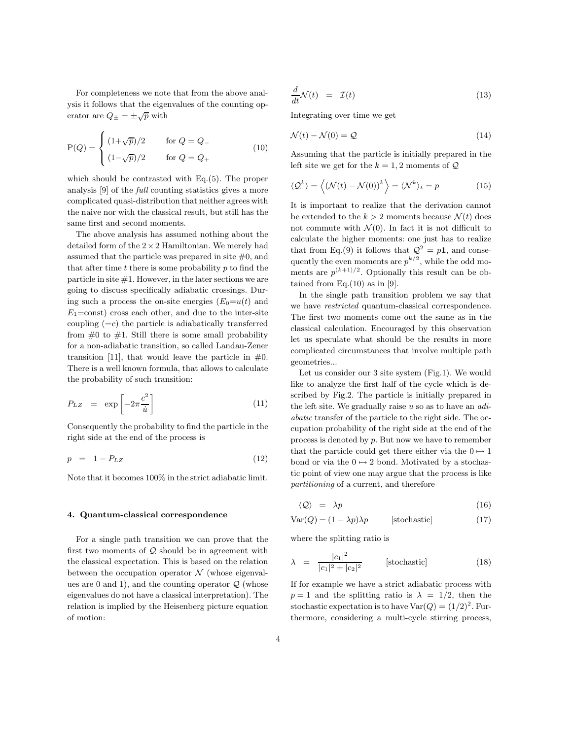For completeness we note that from the above analysis it follows that the eigenvalues of the counting operator are  $Q_{\pm} = \pm \sqrt{p}$  with

$$
P(Q) = \begin{cases} (1+\sqrt{p})/2 & \text{for } Q = Q_- \\ (1-\sqrt{p})/2 & \text{for } Q = Q_+ \end{cases}
$$
 (10)

which should be contrasted with Eq.(5). The proper analysis [9] of the full counting statistics gives a more complicated quasi-distribution that neither agrees with the naive nor with the classical result, but still has the same first and second moments.

The above analysis has assumed nothing about the detailed form of the 2×2 Hamiltonian. We merely had assumed that the particle was prepared in site  $#0$ , and that after time  $t$  there is some probability  $p$  to find the particle in site  $#1$ . However, in the later sections we are going to discuss specifically adiabatic crossings. During such a process the on-site energies  $(E_0=u(t))$  and  $E_1 = \text{const}$  cross each other, and due to the inter-site coupling  $(=c)$  the particle is adiabatically transferred from  $\#0$  to  $\#1$ . Still there is some small probability for a non-adiabatic transition, so called Landau-Zener transition [11], that would leave the particle in  $#0$ . There is a well known formula, that allows to calculate the probability of such transition:

$$
P_{LZ} = \exp\left[-2\pi \frac{c^2}{\dot{u}}\right] \tag{11}
$$

Consequently the probability to find the particle in the right side at the end of the process is

$$
p = 1 - P_{LZ} \tag{12}
$$

Note that it becomes 100% in the strict adiabatic limit.

## 4. Quantum-classical correspondence

For a single path transition we can prove that the first two moments of  $Q$  should be in agreement with the classical expectation. This is based on the relation between the occupation operator  $\mathcal N$  (whose eigenvalues are 0 and 1), and the counting operator  $Q$  (whose eigenvalues do not have a classical interpretation). The relation is implied by the Heisenberg picture equation of motion:

$$
\frac{d}{dt}\mathcal{N}(t) = \mathcal{I}(t) \tag{13}
$$

Integrating over time we get

$$
\mathcal{N}(t) - \mathcal{N}(0) = \mathcal{Q} \tag{14}
$$

Assuming that the particle is initially prepared in the left site we get for the  $k = 1, 2$  moments of  $Q$ 

$$
\langle \mathcal{Q}^k \rangle = \langle (\mathcal{N}(t) - \mathcal{N}(0))^k \rangle = \langle \mathcal{N}^k \rangle_t = p \tag{15}
$$

It is important to realize that the derivation cannot be extended to the  $k > 2$  moments because  $\mathcal{N}(t)$  does not commute with  $\mathcal{N}(0)$ . In fact it is not difficult to calculate the higher moments: one just has to realize that from Eq.(9) it follows that  $\mathcal{Q}^2 = p\mathbf{1}$ , and consequently the even moments are  $p^{k/2}$ , while the odd moments are  $p^{(k+1)/2}$ . Optionally this result can be obtained from  $Eq.(10)$  as in [9].

In the single path transition problem we say that we have restricted quantum-classical correspondence. The first two moments come out the same as in the classical calculation. Encouraged by this observation let us speculate what should be the results in more complicated circumstances that involve multiple path geometries...

Let us consider our 3 site system (Fig.1). We would like to analyze the first half of the cycle which is described by Fig.2. The particle is initially prepared in the left site. We gradually raise  $u$  so as to have an  $adi$ abatic transfer of the particle to the right side. The occupation probability of the right side at the end of the process is denoted by p. But now we have to remember that the particle could get there either via the  $0 \mapsto 1$ bond or via the  $0 \mapsto 2$  bond. Motivated by a stochastic point of view one may argue that the process is like partitioning of a current, and therefore

$$
\langle \mathcal{Q} \rangle = \lambda p \tag{16}
$$

$$
Var(Q) = (1 - \lambda p)\lambda p
$$
 [stochastic] (17)

where the splitting ratio is

$$
\lambda = \frac{|c_1|^2}{|c_1|^2 + |c_2|^2}
$$
 [stochastic] (18)

If for example we have a strict adiabatic process with  $p = 1$  and the splitting ratio is  $\lambda = 1/2$ , then the stochastic expectation is to have  $Var(Q) = (1/2)^2$ . Furthermore, considering a multi-cycle stirring process,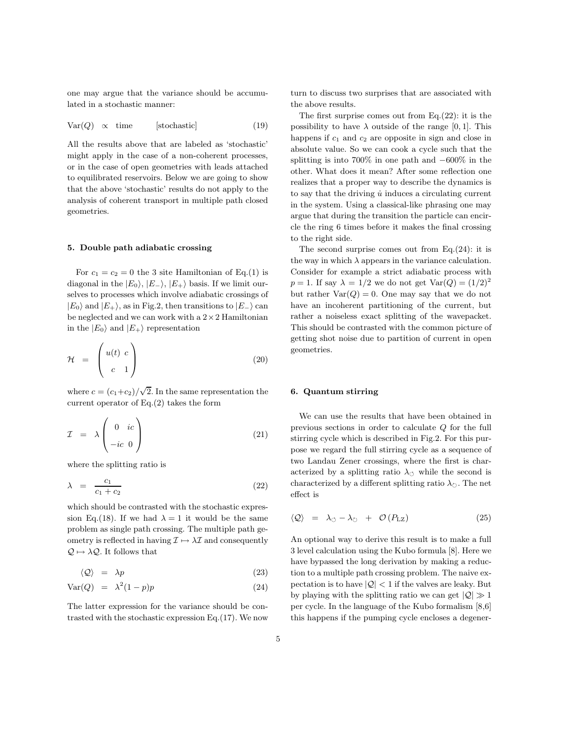one may argue that the variance should be accumulated in a stochastic manner:

$$
Var(Q) \propto time \qquad [stochastic] \tag{19}
$$

All the results above that are labeled as 'stochastic' might apply in the case of a non-coherent processes, or in the case of open geometries with leads attached to equilibrated reservoirs. Below we are going to show that the above 'stochastic' results do not apply to the analysis of coherent transport in multiple path closed geometries.

## 5. Double path adiabatic crossing

For  $c_1 = c_2 = 0$  the 3 site Hamiltonian of Eq.(1) is diagonal in the  $|E_0\rangle$ ,  $|E_-\rangle$ ,  $|E_+\rangle$  basis. If we limit ourselves to processes which involve adiabatic crossings of  $|E_0\rangle$  and  $|E_+\rangle$ , as in Fig.2, then transitions to  $|E_-\rangle$  can be neglected and we can work with a  $2 \times 2$  Hamiltonian in the  $|E_0\rangle$  and  $|E_+\rangle$  representation

$$
\mathcal{H} = \begin{pmatrix} u(t) & c \\ c & 1 \end{pmatrix} \tag{20}
$$

where  $c = (c_1+c_2)/\sqrt{2}$ . In the same representation the current operator of Eq.(2) takes the form

$$
\mathcal{I} = \lambda \begin{pmatrix} 0 & ic \\ -ic & 0 \end{pmatrix} \tag{21}
$$

where the splitting ratio is

$$
\lambda = \frac{c_1}{c_1 + c_2} \tag{22}
$$

which should be contrasted with the stochastic expression Eq.(18). If we had  $\lambda = 1$  it would be the same problem as single path crossing. The multiple path geometry is reflected in having  $\mathcal{I} \mapsto \lambda \mathcal{I}$  and consequently  $\mathcal{Q} \mapsto \lambda \mathcal{Q}$ . It follows that

$$
\langle \mathcal{Q} \rangle = \lambda p \tag{23}
$$

$$
Var(Q) = \lambda^2 (1 - p)p \tag{24}
$$

The latter expression for the variance should be contrasted with the stochastic expression Eq.(17). We now turn to discuss two surprises that are associated with the above results.

The first surprise comes out from  $Eq.(22)$ : it is the possibility to have  $\lambda$  outside of the range [0, 1]. This happens if  $c_1$  and  $c_2$  are opposite in sign and close in absolute value. So we can cook a cycle such that the splitting is into 700% in one path and −600% in the other. What does it mean? After some reflection one realizes that a proper way to describe the dynamics is to say that the driving  $\dot{u}$  induces a circulating current in the system. Using a classical-like phrasing one may argue that during the transition the particle can encircle the ring 6 times before it makes the final crossing to the right side.

The second surprise comes out from  $Eq.(24)$ : it is the way in which  $\lambda$  appears in the variance calculation. Consider for example a strict adiabatic process with  $p = 1$ . If say  $\lambda = 1/2$  we do not get  $Var(Q) = (1/2)^2$ but rather  $Var(Q) = 0$ . One may say that we do not have an incoherent partitioning of the current, but rather a noiseless exact splitting of the wavepacket. This should be contrasted with the common picture of getting shot noise due to partition of current in open geometries.

## 6. Quantum stirring

We can use the results that have been obtained in previous sections in order to calculate Q for the full stirring cycle which is described in Fig.2. For this purpose we regard the full stirring cycle as a sequence of two Landau Zener crossings, where the first is characterized by a splitting ratio  $\lambda_{\circlearrowleft}$  while the second is characterized by a different splitting ratio  $\lambda_{\circ}$ . The net effect is

$$
\langle \mathcal{Q} \rangle = \lambda_{\circlearrowleft} - \lambda_{\circlearrowright} + \mathcal{O}(P_{\mathrm{LZ}}) \tag{25}
$$

An optional way to derive this result is to make a full 3 level calculation using the Kubo formula [8]. Here we have bypassed the long derivation by making a reduction to a multiple path crossing problem. The naive expectation is to have  $|Q|$  < 1 if the valves are leaky. But by playing with the splitting ratio we can get  $|Q| \gg 1$ per cycle. In the language of the Kubo formalism [8,6] this happens if the pumping cycle encloses a degener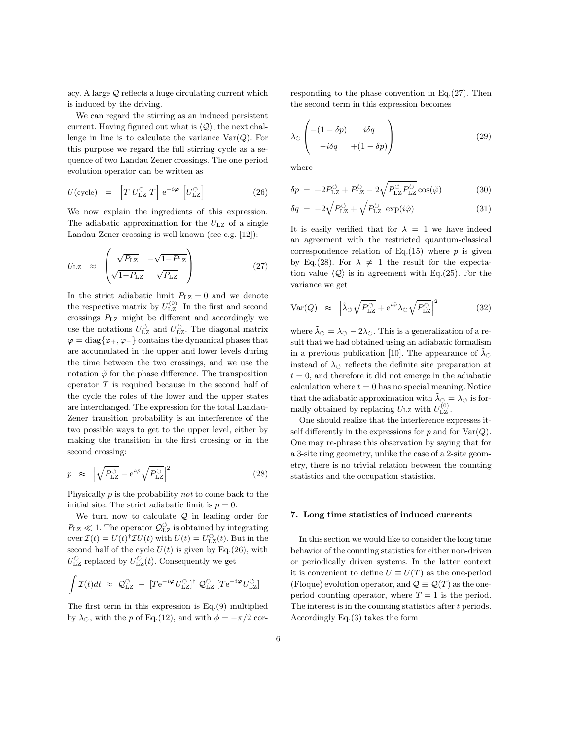acy. A large Q reflects a huge circulating current which is induced by the driving.

We can regard the stirring as an induced persistent current. Having figured out what is  $\langle \mathcal{Q} \rangle$ , the next challenge in line is to calculate the variance  $Var(Q)$ . For this purpose we regard the full stirring cycle as a sequence of two Landau Zener crossings. The one period evolution operator can be written as

$$
U(\text{cycle}) = \left[T U_{\text{LZ}}^{\circlearrowright} T\right] e^{-i\varphi} \left[U_{\text{LZ}}^{\circlearrowleft}\right]
$$
\n(26)

We now explain the ingredients of this expression. The adiabatic approximation for the  $U_{\text{LZ}}$  of a single Landau-Zener crossing is well known (see e.g. [12]):

$$
U_{\text{LZ}} \approx \begin{pmatrix} \sqrt{P_{\text{LZ}}} & -\sqrt{1-P_{\text{LZ}}} \\ \sqrt{1-P_{\text{LZ}}} & \sqrt{P_{\text{LZ}}} \end{pmatrix} \tag{27}
$$

In the strict adiabatic limit  $P_{\text{LZ}} = 0$  and we denote the respective matrix by  $U_{\text{LZ}}^{(0)}$ . In the first and second crossings  $P_{\rm LZ}$  might be different and accordingly we use the notations  $U_{\rm LZ}^{\circlearrowleft}$  and  $U_{\rm LZ}^{\circlearrowright}$ . The diagonal matrix  $\varphi = \text{diag}\{\varphi_+, \varphi_-\}$  contains the dynamical phases that are accumulated in the upper and lower levels during the time between the two crossings, and we use the notation  $\tilde{\varphi}$  for the phase difference. The transposition operator  $T$  is required because in the second half of the cycle the roles of the lower and the upper states are interchanged. The expression for the total Landau-Zener transition probability is an interference of the two possible ways to get to the upper level, either by making the transition in the first crossing or in the second crossing:

$$
p \approx \left| \sqrt{P_{\rm LZ}^{\circlearrowleft}} - e^{i\tilde{\varphi}} \sqrt{P_{\rm LZ}^{\circlearrowright}} \right|^2 \tag{28}
$$

Physically p is the probability not to come back to the initial site. The strict adiabatic limit is  $p = 0$ .

We turn now to calculate  $Q$  in leading order for  $P_{\text{LZ}} \ll 1$ . The operator  $\mathcal{Q}^{\circlearrowleft}_{\text{LZ}}$  is obtained by integrating over  $\mathcal{I}(t) = U(t)^{\dagger} \mathcal{I} U(t)$  with  $U(t) = U_{\text{LZ}}^{\circlearrowleft}(t)$ . But in the second half of the cycle  $U(t)$  is given by Eq.(26), with  $U_{\rm LZ}^{\circlearrowright}$  replaced by  $U_{\rm LZ}^{\circlearrowright}(t).$  Consequently we get

$$
\int \mathcal{I}(t)dt \approx \mathcal{Q}_{\text{LZ}}^{\circlearrowleft} - \left[ T e^{-i\boldsymbol{\varphi}} U_{\text{LZ}}^{\circlearrowleft} \right]^{\dagger} \mathcal{Q}_{\text{LZ}}^{\circlearrowright} \left[ T e^{-i\boldsymbol{\varphi}} U_{\text{LZ}}^{\circlearrowleft} \right] \right]
$$

The first term in this expression is Eq.(9) multiplied by  $\lambda_{\circ}$ , with the p of Eq.(12), and with  $\phi = -\pi/2$  cor-

responding to the phase convention in Eq.(27). Then the second term in this expression becomes

$$
\lambda_{\circlearrowright} \begin{pmatrix} -(1 - \delta p) & i\delta q \\ -i\delta q & +(1 - \delta p) \end{pmatrix}
$$
 (29)

where

$$
\delta p = +2P_{\rm LZ}^{\circlearrowleft} + P_{\rm LZ}^{\circlearrowright} - 2\sqrt{P_{\rm LZ}^{\circlearrowleft} P_{\rm LZ}^{\circlearrowright}}\cos(\tilde{\varphi})\tag{30}
$$

$$
\delta q = -2\sqrt{P_{\rm LZ}^{\circlearrowleft}} + \sqrt{P_{\rm LZ}^{\circlearrowright}} \, \exp(i\tilde{\varphi}) \tag{31}
$$

It is easily verified that for  $\lambda = 1$  we have indeed an agreement with the restricted quantum-classical correspondence relation of Eq.(15) where  $p$  is given by Eq.(28). For  $\lambda \neq 1$  the result for the expectation value  $\langle \mathcal{Q} \rangle$  is in agreement with Eq.(25). For the variance we get

$$
Var(Q) \approx \left| \tilde{\lambda}_{\circlearrowleft} \sqrt{P_{\rm LZ}^{\circlearrowleft}} + e^{i\tilde{\varphi}} \lambda_{\circlearrowright} \sqrt{P_{\rm LZ}^{\circlearrowright}} \right|^2 \tag{32}
$$

where  $\tilde{\lambda}_{\circlearrowleft} = \lambda_{\circlearrowleft} - 2\lambda_{\circlearrowright}$ . This is a generalization of a result that we had obtained using an adiabatic formalism in a previous publication [10]. The appearance of  $\tilde{\lambda}_{\circlearrowleft}$ instead of  $\lambda_{\circ}$  reflects the definite site preparation at  $t = 0$ , and therefore it did not emerge in the adiabatic calculation where  $t = 0$  has no special meaning. Notice that the adiabatic approximation with  $\tilde{\lambda}_{\circlearrowleft} = \lambda_{\circlearrowleft}$  is formally obtained by replacing  $U_{\text{LZ}}$  with  $U_{\text{LZ}}^{(0)}$ .

One should realize that the interference expresses itself differently in the expressions for  $p$  and for  $\text{Var}(Q)$ . One may re-phrase this observation by saying that for a 3-site ring geometry, unlike the case of a 2-site geometry, there is no trivial relation between the counting statistics and the occupation statistics.

## 7. Long time statistics of induced currents

In this section we would like to consider the long time behavior of the counting statistics for either non-driven or periodically driven systems. In the latter context it is convenient to define  $U \equiv U(T)$  as the one-period (Floque) evolution operator, and  $\mathcal{Q} \equiv \mathcal{Q}(T)$  as the oneperiod counting operator, where  $T = 1$  is the period. The interest is in the counting statistics after  $t$  periods. Accordingly Eq.(3) takes the form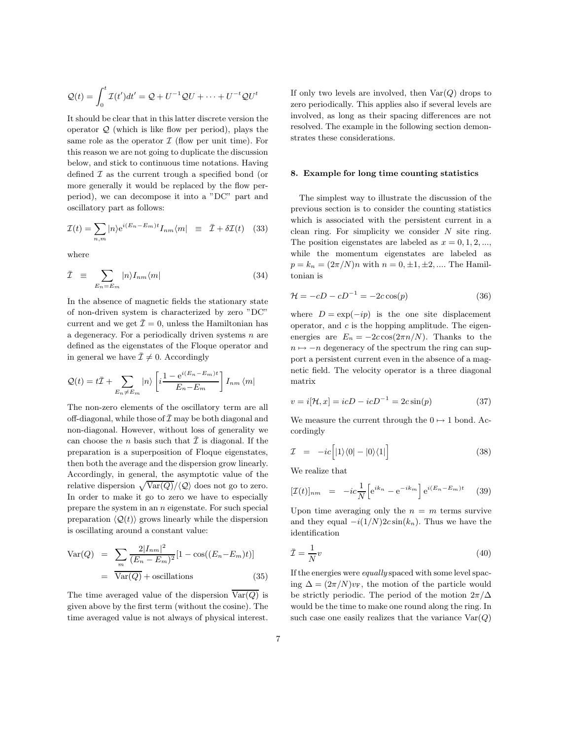$$
\mathcal{Q}(t) = \int_0^t \mathcal{I}(t')dt' = \mathcal{Q} + U^{-1}\mathcal{Q}U + \dots + U^{-t}\mathcal{Q}U^t
$$

It should be clear that in this latter discrete version the operator  $\mathcal{Q}$  (which is like flow per period), plays the same role as the operator  $\mathcal I$  (flow per unit time). For this reason we are not going to duplicate the discussion below, and stick to continuous time notations. Having defined  $\mathcal I$  as the current trough a specified bond (or more generally it would be replaced by the flow perperiod), we can decompose it into a "DC" part and oscillatory part as follows:

$$
\mathcal{I}(t) = \sum_{n,m} |n\rangle e^{i(E_n - E_m)t} I_{nm} \langle m| \equiv \bar{\mathcal{I}} + \delta \mathcal{I}(t) \quad (33)
$$

where

$$
\bar{\mathcal{I}} \equiv \sum_{E_n = E_m} |n\rangle I_{nm} \langle m| \tag{34}
$$

In the absence of magnetic fields the stationary state of non-driven system is characterized by zero "DC" current and we get  $\bar{\mathcal{I}}=0$ , unless the Hamiltonian has a degeneracy. For a periodically driven systems  $n$  are defined as the eigenstates of the Floque operator and in general we have  $\bar{\mathcal{I}} \neq 0$ . Accordingly

$$
Q(t) = t\overline{\mathcal{I}} + \sum_{E_n \neq E_m} |n\rangle \left[ i \frac{1 - e^{i(E_n - E_m)t}}{E_n - E_m} \right] I_{nm} \langle m|
$$

The non-zero elements of the oscillatory term are all off-diagonal, while those of  $\bar{\mathcal{I}}$  may be both diagonal and non-diagonal. However, without loss of generality we can choose the *n* basis such that  $\overline{\mathcal{I}}$  is diagonal. If the preparation is a superposition of Floque eigenstates, then both the average and the dispersion grow linearly. Accordingly, in general, the asymptotic value of the relative dispersion  $\sqrt{\text{Var}(Q)}/\langle Q \rangle$  does not go to zero. In order to make it go to zero we have to especially prepare the system in an  $n$  eigenstate. For such special preparation  $\langle \mathcal{Q}(t) \rangle$  grows linearly while the dispersion is oscillating around a constant value:

$$
\begin{aligned} \text{Var}(Q) &= \sum_{m} \frac{2|I_{nm}|^2}{(E_n - E_m)^2} [1 - \cos((E_n - E_m)t)] \\ &= \overline{\text{Var}(Q)} + \text{oscillations} \end{aligned} \tag{35}
$$

The time averaged value of the dispersion  $\overline{\text{Var}(Q)}$  is given above by the first term (without the cosine). The time averaged value is not always of physical interest.

If only two levels are involved, then  $Var(Q)$  drops to zero periodically. This applies also if several levels are involved, as long as their spacing differences are not resolved. The example in the following section demonstrates these considerations.

## 8. Example for long time counting statistics

The simplest way to illustrate the discussion of the previous section is to consider the counting statistics which is associated with the persistent current in a clean ring. For simplicity we consider  $N$  site ring. The position eigenstates are labeled as  $x = 0, 1, 2, \dots$ , while the momentum eigenstates are labeled as  $p = k_n = (2\pi/N)n$  with  $n = 0, \pm 1, \pm 2, \dots$  The Hamiltonian is

$$
\mathcal{H} = -cD - cD^{-1} = -2c\cos(p) \tag{36}
$$

where  $D = \exp(-ip)$  is the one site displacement operator, and  $c$  is the hopping amplitude. The eigenenergies are  $E_n = -2c \cos(2\pi n/N)$ . Thanks to the  $n \mapsto -n$  degeneracy of the spectrum the ring can support a persistent current even in the absence of a magnetic field. The velocity operator is a three diagonal matrix

$$
v = i[\mathcal{H}, x] = icD - icD^{-1} = 2c\sin(p)
$$
 (37)

We measure the current through the  $0 \mapsto 1$  bond. Accordingly

$$
\mathcal{I} = -ic[|1\rangle\langle 0| - |0\rangle\langle 1|]
$$
\n(38)

We realize that

$$
[\mathcal{I}(t)]_{nm} = -ic\frac{1}{N} \left[ e^{ik_n} - e^{-ik_m} \right] e^{i(E_n - E_m)t}
$$
 (39)

Upon time averaging only the  $n = m$  terms survive and they equal  $-i(1/N)2c\sin(k_n)$ . Thus we have the identification

$$
\bar{\mathcal{I}} = \frac{1}{N}v\tag{40}
$$

If the energies were equally spaced with some level spacing  $\Delta = (2\pi/N)v_F$ , the motion of the particle would be strictly periodic. The period of the motion  $2\pi/\Delta$ would be the time to make one round along the ring. In such case one easily realizes that the variance  $Var(Q)$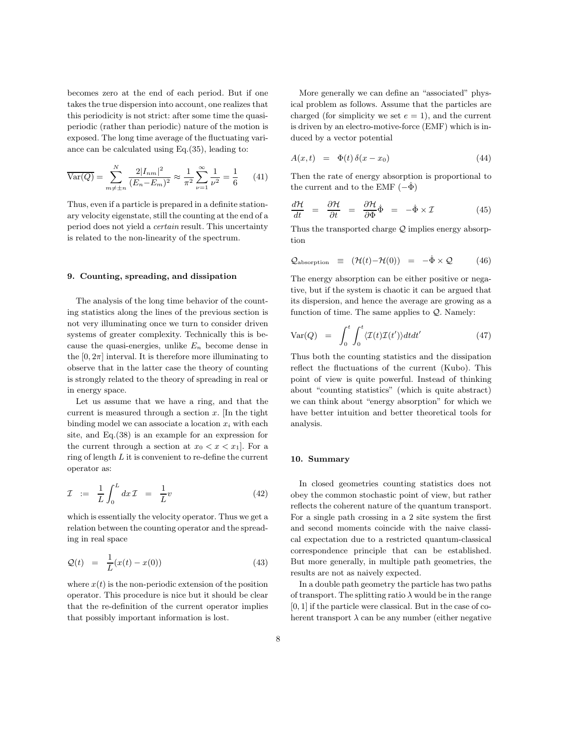becomes zero at the end of each period. But if one takes the true dispersion into account, one realizes that this periodicity is not strict: after some time the quasiperiodic (rather than periodic) nature of the motion is exposed. The long time average of the fluctuating variance can be calculated using Eq.(35), leading to:

$$
\overline{\text{Var}(Q)} = \sum_{m \neq \pm n}^{N} \frac{2|I_{nm}|^2}{(E_n - E_m)^2} \approx \frac{1}{\pi^2} \sum_{\nu=1}^{\infty} \frac{1}{\nu^2} = \frac{1}{6} \qquad (41)
$$

Thus, even if a particle is prepared in a definite stationary velocity eigenstate, still the counting at the end of a period does not yield a certain result. This uncertainty is related to the non-linearity of the spectrum.

## 9. Counting, spreading, and dissipation

The analysis of the long time behavior of the counting statistics along the lines of the previous section is not very illuminating once we turn to consider driven systems of greater complexity. Technically this is because the quasi-energies, unlike  $E_n$  become dense in the  $[0, 2\pi]$  interval. It is therefore more illuminating to observe that in the latter case the theory of counting is strongly related to the theory of spreading in real or in energy space.

Let us assume that we have a ring, and that the current is measured through a section  $x$ . In the tight binding model we can associate a location  $x_i$  with each site, and Eq.(38) is an example for an expression for the current through a section at  $x_0 < x < x_1$ . For a ring of length  $L$  it is convenient to re-define the current operator as:

$$
\mathcal{I} := \frac{1}{L} \int_0^L dx \mathcal{I} = \frac{1}{L} v \tag{42}
$$

which is essentially the velocity operator. Thus we get a relation between the counting operator and the spreading in real space

$$
\mathcal{Q}(t) = \frac{1}{L}(x(t) - x(0)) \tag{43}
$$

where  $x(t)$  is the non-periodic extension of the position operator. This procedure is nice but it should be clear that the re-definition of the current operator implies that possibly important information is lost.

More generally we can define an "associated" physical problem as follows. Assume that the particles are charged (for simplicity we set  $e = 1$ ), and the current is driven by an electro-motive-force (EMF) which is induced by a vector potential

$$
A(x,t) = \Phi(t)\,\delta(x-x_0) \tag{44}
$$

Then the rate of energy absorption is proportional to the current and to the EMF  $(-\dot{\Phi})$ 

$$
\frac{d\mathcal{H}}{dt} = \frac{\partial \mathcal{H}}{\partial t} = \frac{\partial \mathcal{H}}{\partial \Phi} \dot{\Phi} = -\dot{\Phi} \times \mathcal{I}
$$
\n(45)

Thus the transported charge  $Q$  implies energy absorption

$$
Q_{\text{absorption}} \equiv (\mathcal{H}(t) - \mathcal{H}(0)) = -\dot{\Phi} \times \mathcal{Q} \qquad (46)
$$

The energy absorption can be either positive or negative, but if the system is chaotic it can be argued that its dispersion, and hence the average are growing as a function of time. The same applies to  $Q$ . Namely:

$$
Var(Q) = \int_0^t \int_0^t \langle \mathcal{I}(t)\mathcal{I}(t')\rangle dt dt'
$$
 (47)

Thus both the counting statistics and the dissipation reflect the fluctuations of the current (Kubo). This point of view is quite powerful. Instead of thinking about "counting statistics" (which is quite abstract) we can think about "energy absorption" for which we have better intuition and better theoretical tools for analysis.

## 10. Summary

In closed geometries counting statistics does not obey the common stochastic point of view, but rather reflects the coherent nature of the quantum transport. For a single path crossing in a 2 site system the first and second moments coincide with the naive classical expectation due to a restricted quantum-classical correspondence principle that can be established. But more generally, in multiple path geometries, the results are not as naively expected.

In a double path geometry the particle has two paths of transport. The splitting ratio  $\lambda$  would be in the range [0, 1] if the particle were classical. But in the case of coherent transport  $\lambda$  can be any number (either negative